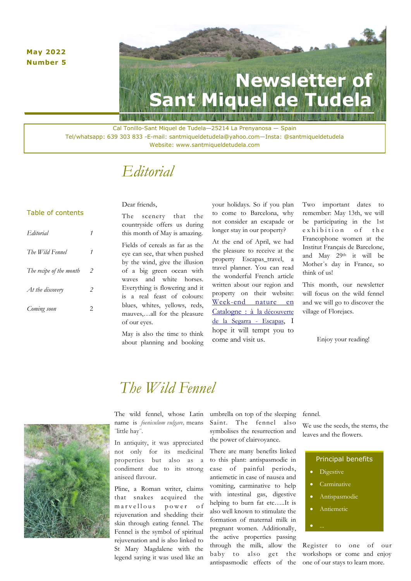### **May 2022 Number 5**



Cal Tonillo-Sant Miquel de Tudela—25214 La Prenyanosa — Spain Tel/whatsapp: 639 303 833 -E-mail: santmiqueldetudela@yahoo.com—Insta: @santmiqueldetudela Website: www.santmiqueldetudela.com

## *Editorial*

#### Table of contents

| Editorial               |   |
|-------------------------|---|
| The Wild Fennel         | 1 |
| The recipe of the month | 2 |
| At the discovery        | 2 |
| Coming soon             | 2 |
|                         |   |

#### Dear friends,

The scenery that the countryside offers us during this month of May is amazing. Fields of cereals as far as the eye can see, that when pushed by the wind, give the illusion of a big green ocean with

waves and white horses. Everything is flowering and it is a real feast of colours: blues, whites, yellows, reds, mauves,…all for the pleasure of our eyes.

May is also the time to think about planning and booking your holidays. So if you plan to come to Barcelona, why not consider an escapade or longer stay in our property?

At the end of April, we had the pleasure to receive at the property Escapas\_travel, a travel planner. You can read the wonderful French article written about our region and property on their website: [Week-end nature en](https://escapas.net/week-end-nature-catalogne-la-segarra/)  [Catalogne : à la](https://escapas.net/week-end-nature-catalogne-la-segarra/) découverte [de la Segarra -](https://escapas.net/week-end-nature-catalogne-la-segarra/) Escapas, I hope it will tempt you to come and visit us.

Two important dates to remember: May 13th, we will be participating in the 1st exhibition of the Francophone women at the Institut Français de Barcelone, and May 29th it will be Mother´s day in France, so think of us!

This month, our newsletter will focus on the wild fennel and we will go to discover the village of Florejacs.

Enjoy your reading!

### *The Wild Fennel*



The wild fennel, whose Latin name is *foeniculum vulgare,* means ¨little hay¨.

In antiquity, it was appreciated not only for its medicinal properties but also as a condiment due to its strong aniseed flavour.

Pline, a Roman writer, claims that snakes acquired the marvellous power of rejuvenation and shedding their skin through eating fennel. The Fennel is the symbol of spiritual rejuvenation and is also linked to St Mary Magdalene with the legend saying it was used like an umbrella on top of the sleeping Saint. The fennel also symbolises the resurrection and the power of clairvoyance.

There are many benefits linked to this plant: antispasmodic in case of painful periods, antiemetic in case of nausea and vomiting, carminative to help with intestinal gas, digestive helping to burn fat etc…..It is also well known to stimulate the formation of maternal milk in pregnant women. Additionally, the active properties passing through the milk, allow the baby to also get the antispasmodic effects of the fennel.

We use the seeds, the stems, the leaves and the flowers.

#### Principal benefits

- Digestive
- Carminative
- Antispasmodic
- Antiemetic

Register to one of our workshops or come and enjoy one of our stays to learn more.